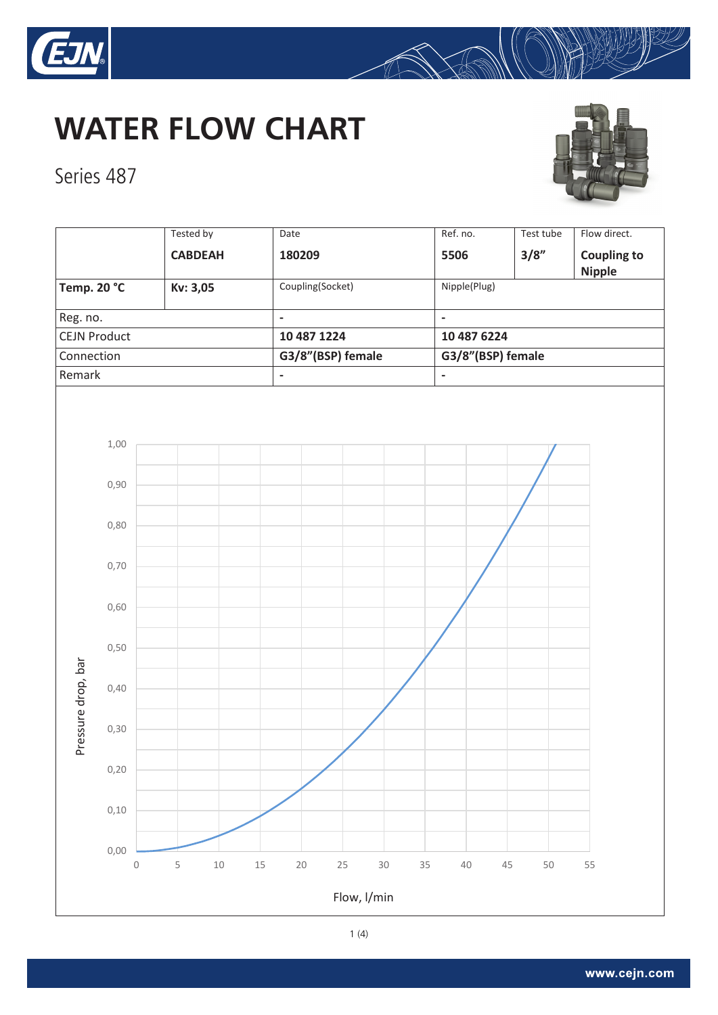

Series 487

## **WATER FLOW CHART**



A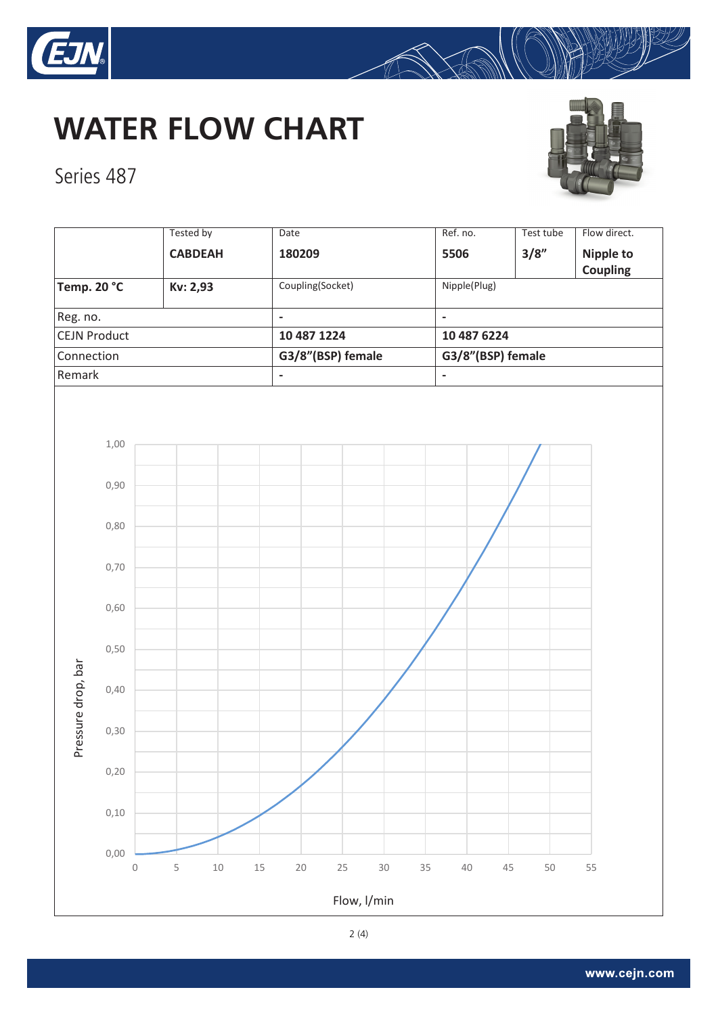

## **WATER FLOW CHART**



Series 487



A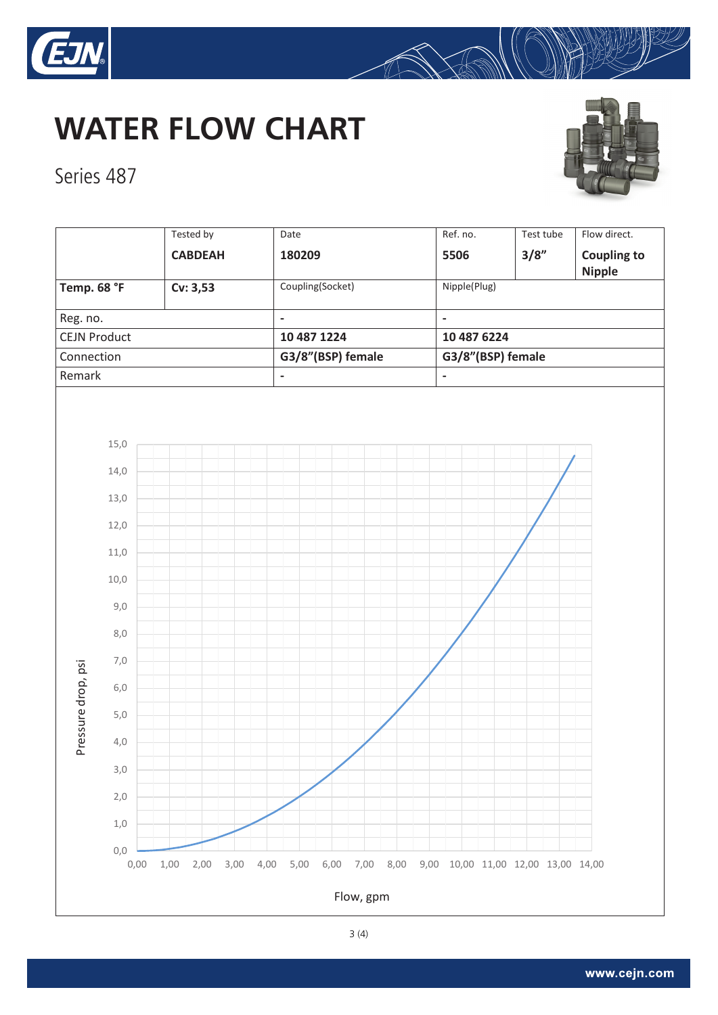

## **WATER FLOW CHART**



Series 487



A